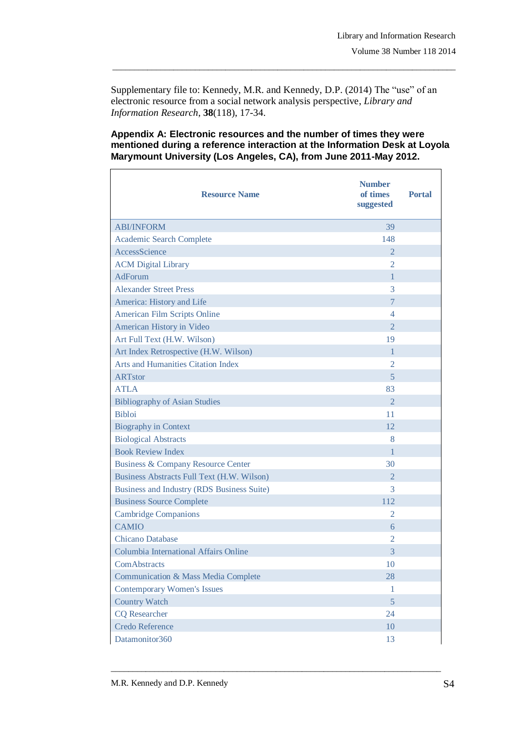Supplementary file to: Kennedy, M.R. and Kennedy, D.P. (2014) The "use" of an electronic resource from a social network analysis perspective, *Library and Information Research*, **38**(118), 17-34.

\_\_\_\_\_\_\_\_\_\_\_\_\_\_\_\_\_\_\_\_\_\_\_\_\_\_\_\_\_\_\_\_\_\_\_\_\_\_\_\_\_\_\_\_\_\_\_\_\_\_\_\_\_\_\_\_\_\_\_\_\_\_\_\_\_\_\_\_\_\_\_\_\_\_\_\_\_\_\_

## **Appendix A: Electronic resources and the number of times they were mentioned during a reference interaction at the Information Desk at Loyola Marymount University (Los Angeles, CA), from June 2011-May 2012.**

| <b>Resource Name</b>                          | <b>Number</b><br>of times<br>suggested | <b>Portal</b> |
|-----------------------------------------------|----------------------------------------|---------------|
| <b>ABI/INFORM</b>                             | 39                                     |               |
| <b>Academic Search Complete</b>               | 148                                    |               |
| AccessScience                                 | $\overline{2}$                         |               |
| <b>ACM Digital Library</b>                    | 2                                      |               |
| <b>AdForum</b>                                | $\mathbf{1}$                           |               |
| <b>Alexander Street Press</b>                 | 3                                      |               |
| America: History and Life                     | $\overline{7}$                         |               |
| American Film Scripts Online                  | $\overline{4}$                         |               |
| American History in Video                     | $\overline{2}$                         |               |
| Art Full Text (H.W. Wilson)                   | 19                                     |               |
| Art Index Retrospective (H.W. Wilson)         | $\mathbf{1}$                           |               |
| <b>Arts and Humanities Citation Index</b>     | $\overline{2}$                         |               |
| <b>ARTstor</b>                                | 5                                      |               |
| <b>ATLA</b>                                   | 83                                     |               |
| <b>Bibliography of Asian Studies</b>          | $\overline{2}$                         |               |
| <b>Bibloi</b>                                 | 11                                     |               |
| <b>Biography in Context</b>                   | 12                                     |               |
| <b>Biological Abstracts</b>                   | 8                                      |               |
| <b>Book Review Index</b>                      | 1                                      |               |
| <b>Business &amp; Company Resource Center</b> | 30                                     |               |
| Business Abstracts Full Text (H.W. Wilson)    | $\overline{2}$                         |               |
| Business and Industry (RDS Business Suite)    | 3                                      |               |
| <b>Business Source Complete</b>               | 112                                    |               |
| <b>Cambridge Companions</b>                   | 2                                      |               |
| <b>CAMIO</b>                                  | 6                                      |               |
| <b>Chicano Database</b>                       | $\overline{2}$                         |               |
| Columbia International Affairs Online         | 3                                      |               |
| ComAbstracts                                  | 10                                     |               |
| Communication & Mass Media Complete           | 28                                     |               |
| <b>Contemporary Women's Issues</b>            | $\mathbf{1}$                           |               |
| <b>Country Watch</b>                          | 5                                      |               |
| <b>CQ</b> Researcher                          | 24                                     |               |
| <b>Credo Reference</b>                        | 10                                     |               |
| Datamonitor360                                | 13                                     |               |

\_\_\_\_\_\_\_\_\_\_\_\_\_\_\_\_\_\_\_\_\_\_\_\_\_\_\_\_\_\_\_\_\_\_\_\_\_\_\_\_\_\_\_\_\_\_\_\_\_\_\_\_\_\_\_\_\_\_\_\_\_\_\_\_\_\_\_\_\_\_\_\_\_\_\_\_

Ē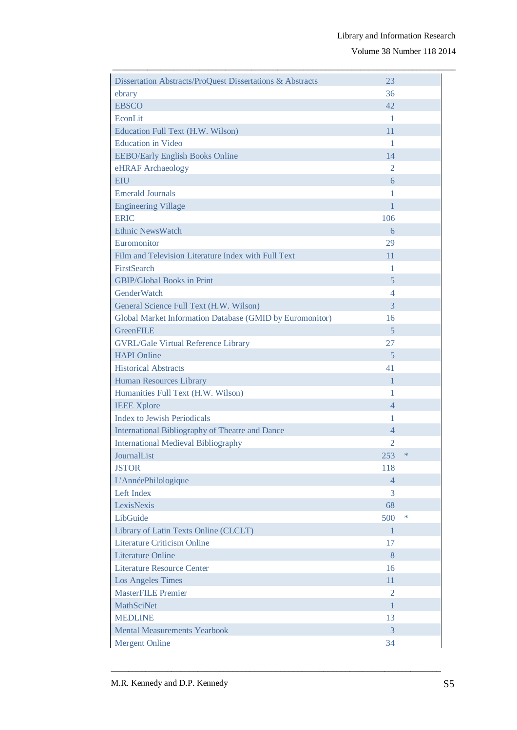Volume 38 Number 118 2014

| Dissertation Abstracts/ProQuest Dissertations & Abstracts | 23             |        |
|-----------------------------------------------------------|----------------|--------|
| ebrary                                                    | 36             |        |
| <b>EBSCO</b>                                              | 42             |        |
| EconLit                                                   | $\mathbf{1}$   |        |
| Education Full Text (H.W. Wilson)                         | 11             |        |
| <b>Education</b> in Video                                 | 1              |        |
| <b>EEBO/Early English Books Online</b>                    | 14             |        |
| eHRAF Archaeology                                         | 2              |        |
| <b>EIU</b>                                                | 6              |        |
| <b>Emerald Journals</b>                                   | 1              |        |
| <b>Engineering Village</b>                                | 1              |        |
| <b>ERIC</b>                                               | 106            |        |
| <b>Ethnic NewsWatch</b>                                   | 6              |        |
| Euromonitor                                               | 29             |        |
| Film and Television Literature Index with Full Text       | 11             |        |
| <b>FirstSearch</b>                                        | 1              |        |
| <b>GBIP/Global Books in Print</b>                         | 5              |        |
| <b>GenderWatch</b>                                        | 4              |        |
| General Science Full Text (H.W. Wilson)                   | 3              |        |
| Global Market Information Database (GMID by Euromonitor)  | 16             |        |
| <b>GreenFILE</b>                                          | 5              |        |
| <b>GVRL/Gale Virtual Reference Library</b>                | 27             |        |
| <b>HAPI</b> Online                                        | 5              |        |
| <b>Historical Abstracts</b>                               | 41             |        |
| Human Resources Library                                   | 1              |        |
| Humanities Full Text (H.W. Wilson)                        | 1              |        |
| <b>IEEE Xplore</b>                                        | $\overline{4}$ |        |
| <b>Index to Jewish Periodicals</b>                        | 1              |        |
| <b>International Bibliography of Theatre and Dance</b>    | $\overline{4}$ |        |
| <b>International Medieval Bibliography</b>                | 2              |        |
| JournalList                                               | 253            | $\ast$ |
| <b>JSTOR</b>                                              | 118            |        |
| L'AnnéePhilologique                                       | $\overline{4}$ |        |
| Left Index                                                | 3              |        |
| LexisNexis                                                | 68             |        |
| LibGuide                                                  | 500            | $\ast$ |
| Library of Latin Texts Online (CLCLT)                     | $\mathbf{1}$   |        |
| <b>Literature Criticism Online</b>                        | 17             |        |
| <b>Literature Online</b>                                  | 8              |        |
| Literature Resource Center                                | 16             |        |
| <b>Los Angeles Times</b>                                  | 11             |        |
| <b>MasterFILE</b> Premier                                 | $\overline{2}$ |        |
| <b>MathSciNet</b>                                         | 1              |        |
| <b>MEDLINE</b>                                            | 13             |        |
| <b>Mental Measurements Yearbook</b>                       | 3              |        |
| <b>Mergent Online</b>                                     | 34             |        |

\_\_\_\_\_\_\_\_\_\_\_\_\_\_\_\_\_\_\_\_\_\_\_\_\_\_\_\_\_\_\_\_\_\_\_\_\_\_\_\_\_\_\_\_\_\_\_\_\_\_\_\_\_\_\_\_\_\_\_\_\_\_\_\_\_\_\_\_\_\_\_\_\_\_\_\_

\_\_\_\_\_\_\_\_\_\_\_\_\_\_\_\_\_\_\_\_\_\_\_\_\_\_\_\_\_\_\_\_\_\_\_\_\_\_\_\_\_\_\_\_\_\_\_\_\_\_\_\_\_\_\_\_\_\_\_\_\_\_\_\_\_\_\_\_\_\_\_\_\_\_\_\_\_\_\_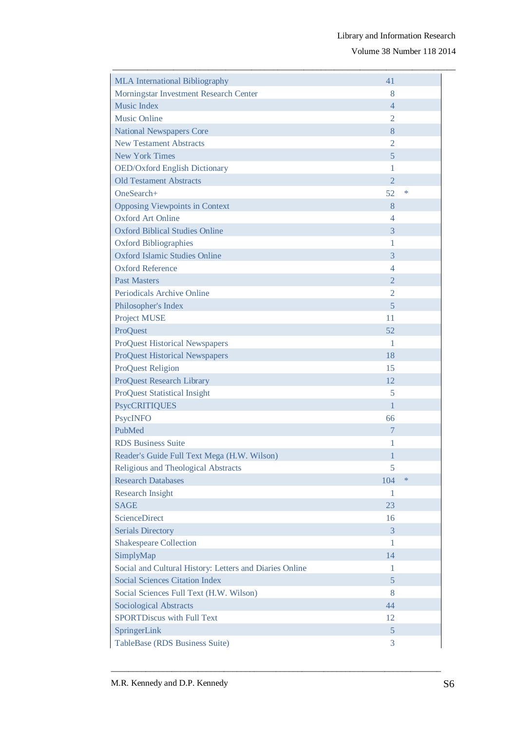Volume 38 Number 118 2014

| <b>MLA</b> International Bibliography                   | 41             |        |
|---------------------------------------------------------|----------------|--------|
| Morningstar Investment Research Center                  | 8              |        |
| <b>Music Index</b>                                      | 4              |        |
| <b>Music Online</b>                                     | $\overline{2}$ |        |
| <b>National Newspapers Core</b>                         | 8              |        |
| <b>New Testament Abstracts</b>                          | $\overline{2}$ |        |
| <b>New York Times</b>                                   | 5              |        |
| <b>OED/Oxford English Dictionary</b>                    | 1              |        |
| <b>Old Testament Abstracts</b>                          | $\overline{2}$ |        |
| OneSearch+                                              | 52             | *      |
| <b>Opposing Viewpoints in Context</b>                   | 8              |        |
| Oxford Art Online                                       | 4              |        |
| <b>Oxford Biblical Studies Online</b>                   | 3              |        |
| <b>Oxford Bibliographies</b>                            | 1              |        |
| <b>Oxford Islamic Studies Online</b>                    | 3              |        |
| <b>Oxford Reference</b>                                 | 4              |        |
| <b>Past Masters</b>                                     | $\overline{2}$ |        |
| <b>Periodicals Archive Online</b>                       | $\overline{2}$ |        |
| Philosopher's Index                                     | 5              |        |
| <b>Project MUSE</b>                                     | 11             |        |
| ProQuest                                                | 52             |        |
| <b>ProQuest Historical Newspapers</b>                   | 1              |        |
| <b>ProQuest Historical Newspapers</b>                   | 18             |        |
| <b>ProQuest Religion</b>                                | 15             |        |
| <b>ProQuest Research Library</b>                        | 12             |        |
| <b>ProQuest Statistical Insight</b>                     | 5              |        |
| <b>PsycCRITIQUES</b>                                    | 1              |        |
| <b>PsycINFO</b>                                         | 66             |        |
| PubMed                                                  | 7              |        |
| <b>RDS</b> Business Suite                               | 1              |        |
| Reader's Guide Full Text Mega (H.W. Wilson)             | 1              |        |
| Religious and Theological Abstracts                     | 5              |        |
| <b>Research Databases</b>                               | 104            | $\ast$ |
| <b>Research Insight</b>                                 | 1              |        |
| <b>SAGE</b>                                             | 23             |        |
| <b>ScienceDirect</b>                                    | 16             |        |
| <b>Serials Directory</b>                                | 3              |        |
| <b>Shakespeare Collection</b>                           | 1              |        |
| SimplyMap                                               | 14             |        |
| Social and Cultural History: Letters and Diaries Online | 1              |        |
| <b>Social Sciences Citation Index</b>                   | 5              |        |
| Social Sciences Full Text (H.W. Wilson)                 | 8              |        |
| Sociological Abstracts                                  | 44             |        |
| <b>SPORTDiscus with Full Text</b>                       | 12             |        |
| SpringerLink                                            | 5              |        |
| TableBase (RDS Business Suite)                          | 3              |        |

\_\_\_\_\_\_\_\_\_\_\_\_\_\_\_\_\_\_\_\_\_\_\_\_\_\_\_\_\_\_\_\_\_\_\_\_\_\_\_\_\_\_\_\_\_\_\_\_\_\_\_\_\_\_\_\_\_\_\_\_\_\_\_\_\_\_\_\_\_\_\_\_\_\_\_\_

\_\_\_\_\_\_\_\_\_\_\_\_\_\_\_\_\_\_\_\_\_\_\_\_\_\_\_\_\_\_\_\_\_\_\_\_\_\_\_\_\_\_\_\_\_\_\_\_\_\_\_\_\_\_\_\_\_\_\_\_\_\_\_\_\_\_\_\_\_\_\_\_\_\_\_\_\_\_\_